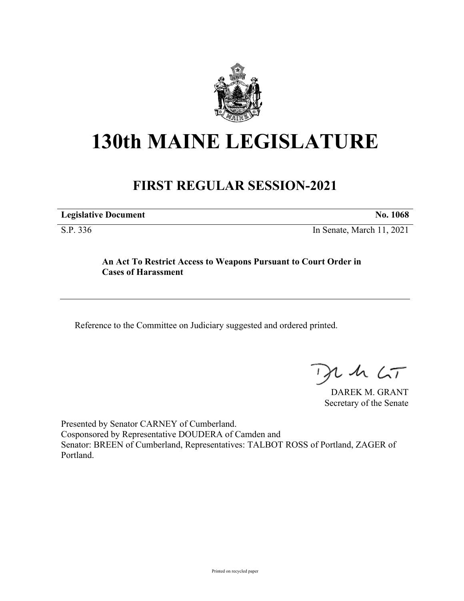

## **130th MAINE LEGISLATURE**

## **FIRST REGULAR SESSION-2021**

**Legislative Document No. 1068**

S.P. 336 In Senate, March 11, 2021

## **An Act To Restrict Access to Weapons Pursuant to Court Order in Cases of Harassment**

Reference to the Committee on Judiciary suggested and ordered printed.

 $125$ 

DAREK M. GRANT Secretary of the Senate

Presented by Senator CARNEY of Cumberland. Cosponsored by Representative DOUDERA of Camden and Senator: BREEN of Cumberland, Representatives: TALBOT ROSS of Portland, ZAGER of Portland.